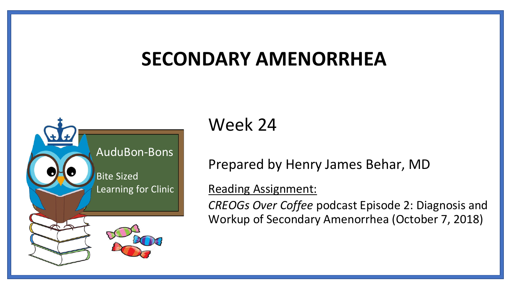#### **SECONDARY AMENORRHEA**



#### Week 24

Prepared by Henry James Behar, MD

Reading Assignment:

*CREOGs Over Coffee* podcast Episode 2: Diagnosis and Workup of Secondary Amenorrhea (October 7, 2018)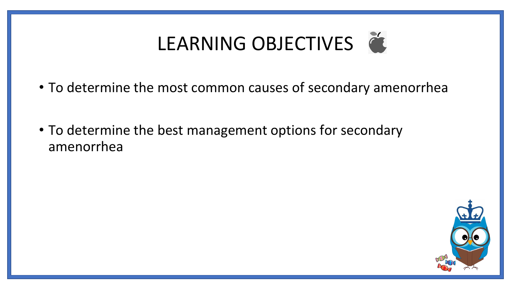# LEARNING OBJECTIVES

- To determine the most common causes of secondary amenorrhea
- To determine the best management options for secondary amenorrhea

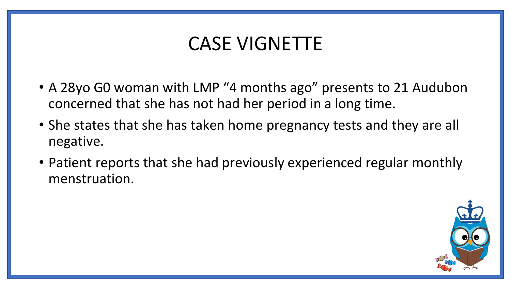#### CASE VIGNETTE

- A 28yo G0 woman with LMP "4 months ago" presents to 21 Audubon concerned that she has not had her period in a long time.
- She states that she has taken home pregnancy tests and they are all negative.
- Patient reports that she had previously experienced regular monthly menstruation.

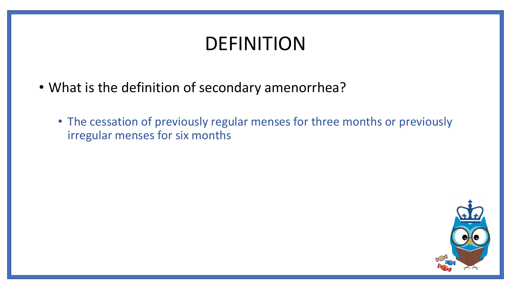## DEFINITION

- What is the definition of secondary amenorrhea?
	- The cessation of previously regular menses for three months or previously irregular menses for six months

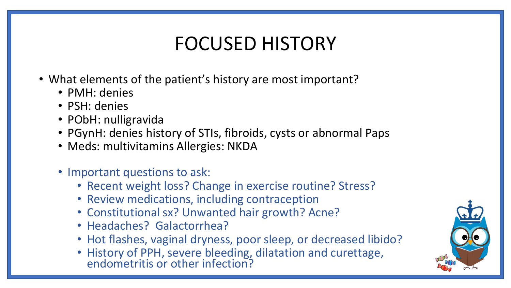## FOCUSED HISTORY

- What elements of the patient's history are most important?
	- PMH: denies
	- PSH: denies
	- PObH: nulligravida
	- PGynH: denies history of STIs, fibroids, cysts or abnormal Paps
	- Meds: multivitamins Allergies: NKDA
	- Important questions to ask:
		- Recent weight loss? Change in exercise routine? Stress?
		- Review medications, including contraception
		- Constitutional sx? Unwanted hair growth? Acne?
		- Headaches? Galactorrhea?
		- Hot flashes, vaginal dryness, poor sleep, or decreased libido?
		- History of PPH, severe bleeding, dilatation and curettage, endometritis or other infection?

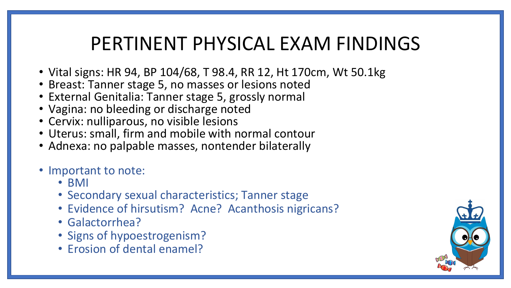#### PERTINENT PHYSICAL EXAM FINDINGS

- Vital signs: HR 94, BP 104/68, T 98.4, RR 12, Ht 170cm, Wt 50.1kg
- Breast: Tanner stage 5, no masses or lesions noted
- External Genitalia: Tanner stage 5, grossly normal
- Vagina: no bleeding or discharge noted
- Cervix: nulliparous, no visible lesions
- Uterus: small, firm and mobile with normal contour
- Adnexa: no palpable masses, nontender bilaterally
- Important to note:
	- BMI
	- Secondary sexual characteristics; Tanner stage
	- Evidence of hirsutism? Acne? Acanthosis nigricans?
	- Galactorrhea?
	- Signs of hypoestrogenism?
	- Erosion of dental enamel?

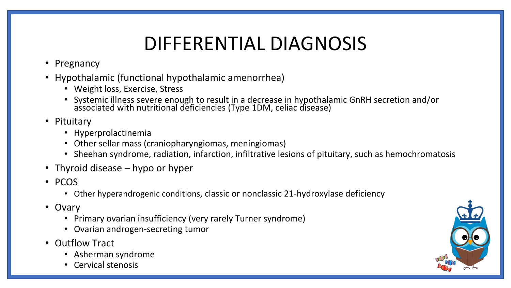## DIFFERENTIAL DIAGNOSIS

- Pregnancy
- Hypothalamic (functional hypothalamic amenorrhea)
	- Weight loss, Exercise, Stress
	- Systemic illness severe enough to result in a decrease in hypothalamic GnRH secretion and/or associated with nutritional deficiencies (Type 1DM, celiac disease)
- Pituitary
	- Hyperprolactinemia
	- Other sellar mass (craniopharyngiomas, meningiomas)
	- Sheehan syndrome, radiation, infarction, infiltrative lesions of pituitary, such as hemochromatosis
- Thyroid disease hypo or hyper
- PCOS
	- Other hyperandrogenic conditions, classic or nonclassic 21-hydroxylase deficiency
- Ovary
	- Primary ovarian insufficiency (very rarely Turner syndrome)
	- Ovarian androgen-secreting tumor
- Outflow Tract
	- Asherman syndrome
	- Cervical stenosis

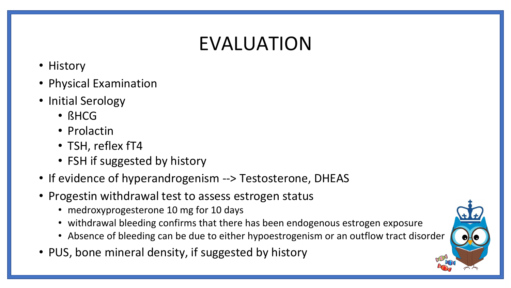# EVALUATION

- History
- Physical Examination
- Initial Serology
	- ßHCG
	- Prolactin
	- TSH, reflex fT4
	- FSH if suggested by history
- If evidence of hyperandrogenism --> Testosterone, DHEAS
- Progestin withdrawal test to assess estrogen status
	- medroxyprogesterone 10 mg for 10 days
	- withdrawal bleeding confirms that there has been endogenous estrogen exposure
	- Absence of bleeding can be due to either hypoestrogenism or an outflow tract disorder
- PUS, bone mineral density, if suggested by history

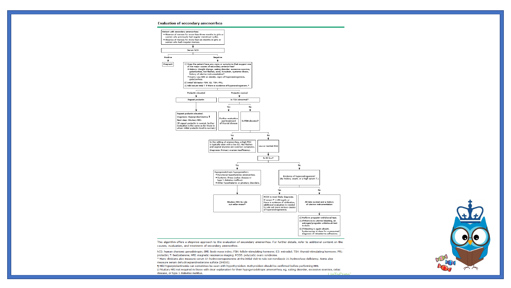#### **Evaluation of secondary amenorrhea**

Positive

₩ Pregnant



This algorithm offers a stepwise approach to the evaluation of secondary amenorrhea. For further details, refer to additional content on the causes, evaluation, and treatment of secondary amenorrhea.

hCG: human chorionic gonadotropin; BMI: body mass index; FSH: follicle-stimulating hormone; E2: estradiol; TSH: thyroid-stimulating hormone; PRL: prolactin; T: testosterone; MRI: magnetic resonance imaging; PCOS: polycystic ovary syndrome.

\* Many clinicians also measure serum 17-hydroxyprogesterone at the initial visit to rule out nonclassic 21-hydroxylase deficiency. Some also measure serum dehydroepiandrosterone sulfate (DHEAS).

I Mild hyperprolactinemia can sometimes be seen with hypothyroidism. Euthyroidism should be confirmed before performing MRI. A Pituitary MRI not required in those with clear explanation for their hypogonadotropic amenorrhea, eg, eating disorder, excessive exercise, celiac disease, or type 1 diabetes mellitus.  $Indo<sub>0</sub>$ 

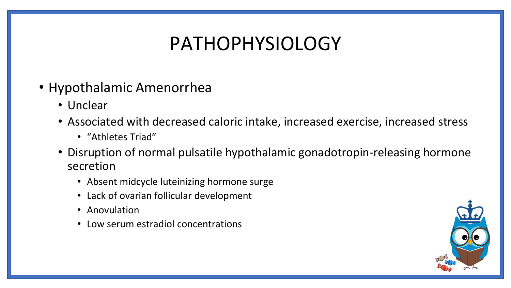#### PATHOPHYSIOLOGY

- Hypothalamic Amenorrhea
	- Unclear
	- Associated with decreased caloric intake, increased exercise, increased stress
		- "Athletes Triad"
	- Disruption of normal pulsatile hypothalamic gonadotropin-releasing hormone secretion
		- Absent midcycle luteinizing hormone surge
		- Lack of ovarian follicular development
		- Anovulation
		- Low serum estradiol concentrations

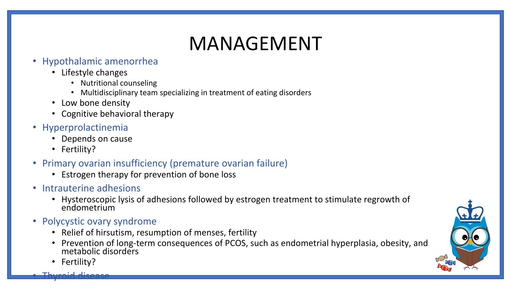# MANAGEMENT

#### • Hypothalamic amenorrhea

- Lifestyle changes
	- Nutritional counseling
	- Multidisciplinary team specializing in treatment of eating disorders
- Low bone density
- Cognitive behavioral therapy
- Hyperprolactinemia
	- Depends on cause
	- Fertility?
- Primary ovarian insufficiency (premature ovarian failure)
	- Estrogen therapy for prevention of bone loss
- Intrauterine adhesions
	- Hysteroscopic lysis of adhesions followed by estrogen treatment to stimulate regrowth of endometrium
- Polycystic ovary syndrome
	- Relief of hirsutism, resumption of menses, fertility
	- Prevention of long-term consequences of PCOS, such as endometrial hyperplasia, obesity, and metabolic disorders
	- Fertility?

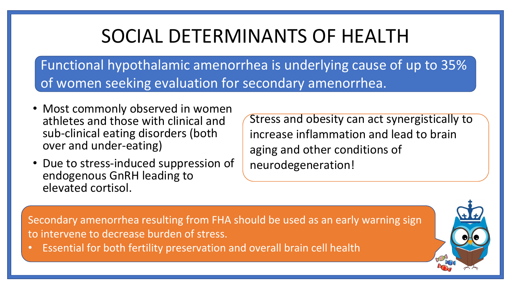## SOCIAL DETERMINANTS OF HEALTH

Functional hypothalamic amenorrhea is underlying cause of up to 35% of women seeking evaluation for secondary amenorrhea.

- Most commonly observed in women athletes and those with clinical and sub-clinical eating disorders (both over and under-eating)
- Due to stress-induced suppression of endogenous GnRH leading to elevated cortisol.

Stress and obesity can act synergistically to increase inflammation and lead to brain aging and other conditions of neurodegeneration!

Secondary amenorrhea resulting from FHA should be used as an early warning sign to intervene to decrease burden of stress.

• Essential for both fertility preservation and overall brain cell health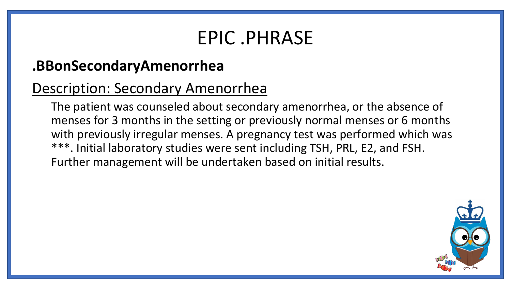#### EPIC .PHRASE

#### **.BBonSecondaryAmenorrhea**

#### Description: Secondary Amenorrhea

The patient was counseled about secondary amenorrhea, or the absence of menses for 3 months in the setting or previously normal menses or 6 months with previously irregular menses. A pregnancy test was performed which was \*\*\*. Initial laboratory studies were sent including TSH, PRL, E2, and FSH. Further management will be undertaken based on initial results.

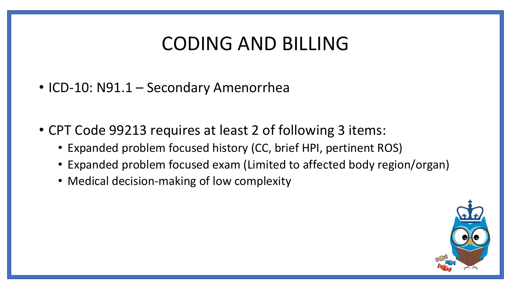#### CODING AND BILLING

- ICD-10: N91.1 Secondary Amenorrhea
- CPT Code 99213 requires at least 2 of following 3 items:
	- Expanded problem focused history (CC, brief HPI, pertinent ROS)
	- Expanded problem focused exam (Limited to affected body region/organ)
	- Medical decision-making of low complexity